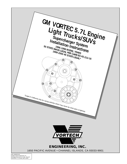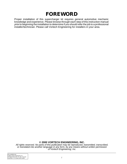# **FOREWORD**

Proper installation of this supercharger kit requires general automotive mechanic knowledge and experience. Please browse through each step of this instruction manual prior to beginning the installation to determine if you should refer the job to a professional installer/technician. Please call Vortech Engineering for installers in your area.

#### **© 2000 VORTECH ENGINEERING, INC.**

All rights reserved. No parts of this publication may be reproduced, transmitted, transcribed, or translated into another language in any form, by any means without written permission of Vortech Engineering, Inc.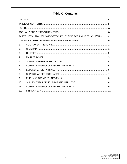### **Table Of Contents**

| PARTS LIST - 1996-2000 GM VORTEC 5.7L ENGINE FOR LIGHT TRUCKS/SUVs  V |  |  |  |  |  |  |  |
|-----------------------------------------------------------------------|--|--|--|--|--|--|--|
|                                                                       |  |  |  |  |  |  |  |
| $\mathbf 1$ .                                                         |  |  |  |  |  |  |  |
| 2.                                                                    |  |  |  |  |  |  |  |
| 3.                                                                    |  |  |  |  |  |  |  |
| $\mathbf{4}$                                                          |  |  |  |  |  |  |  |
| .5.                                                                   |  |  |  |  |  |  |  |
| 6.                                                                    |  |  |  |  |  |  |  |
| 7.                                                                    |  |  |  |  |  |  |  |
| 8.                                                                    |  |  |  |  |  |  |  |
| 9.                                                                    |  |  |  |  |  |  |  |
| 10.                                                                   |  |  |  |  |  |  |  |
| 11.                                                                   |  |  |  |  |  |  |  |
| 12 <sub>1</sub>                                                       |  |  |  |  |  |  |  |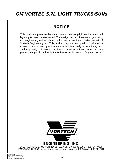# **GM VORTEC 5.7L LIGHT TRUCKS/SUVs**

# **NOTICE**

This product is protected by state common law, copyright and/or patent. All legal rights therein are reserved. The design, layout, dimensions, geometry, and engineering features shown in this product are the exclusive property of Vortech Engineering, Inc. This product may not be copied or duplicated in whole or part, abstractly or fundamentally, intentionally or fortuitously, nor shall any design, dimension, or other information be incorporated into any product or apparatus without prior written consent of Vortech Engineering, Inc.



1650 PACIFIC AVENUE • CHANNEL ISLANDS, CA 93033-9901 • (805) 247-0226 FAX (805) 247-0669 • www.vortechsuperchargers.com • M-F 8:00 AM - 4:30 PM PST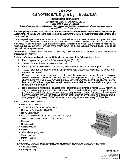## **1996-2000 GM VORTEC 5.7L Engine Light Trucks/SUVs**

#### **Installation Instructions**

**50 State Smog Legal, per CARB EO #D-213-16**

**1999-2000 49 State Smog Legal**

**Congratulations on selecting the best performing and best backed automotive supercharger available today... the VORTECH® V-2® Supercharger!**

**Before beginning this installation, please read through this entire instruction booklet and the Street Supercharger System Owner's Manual which includes the Limited Warranty Program, the Warranty Registration form, and return envelope.**

Vortech supercharger systems are performance improving devices. In most cases, increases in torque of 30 to 35% and horsepower of 35 to 45% can be expected with the boost levels specified by Vortech Engineering. This product is intended for use on healthy, well maintained engines. Installation on a worn-out or damaged engine is not recommended and may result in failure of the engine as well as the supercharger. **Vortech Engineering is not responsible for engine damage.**

Installation on new vehicles will not harm or adversely affect the break-in period so long as factory break-in procedures are followed.

#### **For best performance and continued durability, please take note of the following key points:**

- 1. Use only premium grade fuel 92 octane or higher (R+M/2).
- 2. The engine must have stock compression ratio.
- 3. If the engine has been modified in any way, check with Vortech prior to using this product.
- 4. Always listen for any sign of detonation (pinging) and discontinue hard use (no boost) until problem is resolved.
- 5. Perform an oil and filter change upon completion of this installation and prior to test driving your vehicle. Thereafter, always use a high grade SF rated engine oil or a high quality synthetic, and change the oil and filter at least every 3,000 miles. **Never attempt to extend the oil change interval beyond 3,000 miles, regardless of oil manufacturer's claims, as potential damage to the supercharger may result.**
- 6. Before beginning installation, replace all spark plugs that are older than 1 year or 10,000 miles with original heat range plugs as specified by the manufacturer and reset timing to factory specifications (follow the procedures indicated within the factory repair manual and/or as indicated on the factory underhood emissions tag). **Do not use platinum spark plugs unless they are original equipment.** Change spark plugs every 15,000 miles and spark plug wires at least every 50,000 miles.

#### **TOOL & SUPPLY REQUIREMENTS**

- **•** Factory Repair Manual
- **•** 3/8" Socket and Drive Set: SAE & Metric
- **•** Drill Motor, 3/32" and #16 Drill Bits
- **•** Flat #2 Screwdriver
- **•** Open End Wrenches: 5/16", 3/8", 7/16", 1/2", 9/16", 5/8" 10mm, 13mm, 15mm, 16mm, 17mm, 18mm
- **•** Hammer
- **•** Silicone Sealer
- **•** Oil Filter Wrench
- **•** Oil Filter
- **•** SF rated quality engine oil
- **•** Gasket Scraper
- **•** Punch (Tapered)
- **•** 3/8" NPT Tap

If your vehicle has in excess of 10,000 miles since its last spark plug change, then you will also need:

- **•** Spark plug socket
- **•** NEW spark plugs



4GM218-050S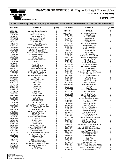

#### **1996-2000 GM VORTEC 5.7L Engine for Light Trucks/SUVs Part No. 4GM218-050SQ/058SQ**

### **PARTS LIST**

| Part Number              | <b>Description</b>                                             | Quantity                         | <b>Part Number</b>     | <b>Description</b>                                                           | Quantity                         |
|--------------------------|----------------------------------------------------------------|----------------------------------|------------------------|------------------------------------------------------------------------------|----------------------------------|
| 2E228-180                | V-2 Supercharger Assembly                                      | 1                                | 4GM020-030             | <b>MAF Buffer</b>                                                            | 1                                |
| 2E128-240                | Supercharger                                                   | 1                                | 4GM112-020             | Air Discharge Assembly                                                       | 1                                |
| 7U100-070<br>2A040-011   | 3/16" x 3/16" x 7/8" Key<br><b>Pulley Retainer</b>             | 1<br>1                           | 7R002-044              | #44 Hose Clamps                                                              | 3                                |
| 7B375-125                | 3/8"-24 x 1-1/4" HX Bolt                                       | 1                                | 7R002-052<br>8D001-001 | #52 Hose Clamp<br><b>Bypass Valve</b>                                        | $\mathbf{1}$<br>1                |
| 7K375-040                | 3/8" AN960 Flat Washer                                         | 1                                | 7R002-016              | #16 Hose Clamps                                                              | 4                                |
| 2A036-361                | 6 Rib Pulley                                                   | 1                                | 7P156-082              | 5/32" Tee                                                                    | 1                                |
| 4GM111-021               | <b>Mounting Bracket Assembly</b>                               | 1                                | 7U030-046              | 5/32" x 24" Vacuum line                                                      | 1                                |
| 4GD011-032               | <b>Belt Tensioner</b>                                          | 1                                | 4GM012-020             | Air Discharge Tube                                                           | 1                                |
| 7A375-124                | 3/8"-16 x 1-1/4" HH Cap Screws                                 | $\overline{2}$                   | 7U050-000<br>7S275-200 | 1" x 6" Heater Hose<br>2-3/4" x 2" Sleeve                                    | 1<br>1                           |
| 7K375-040<br>7A375-100   | 3/8" AN960 Flat Washers<br>3/8"-16 x 1" HXHD Bolts             | 16<br>5                          | 7S350-275              | 2.75-3.5 Reducer                                                             | 1                                |
| 7A375-275                | 3/8"-16 x 2-3/4" HX Cap Screws                                 | $\overline{2}$                   | 7U375-054              | 3/4" Vinyl Cap                                                               | 1                                |
| 7U133-024                | 5/8" Molded Elbow Hose                                         | 1                                | 7U038-000              | 1" x 3" Heater Hose                                                          | 1                                |
| 7P625-002                | 5/8" Hose Barb                                                 | 1                                | 7P500-156              | 1/2" Vacuum Tee x 1/4" NPT                                                   | 1                                |
| 7R001-008                | #8 Hose Clamps                                                 | 3                                | 4GM010-060             | Vortech Discharge Support                                                    | 1<br>$\overline{\mathbf{c}}$     |
| 5W001-007                | 3/16" x 6" Heat Shrink Tube                                    | 1                                | 7R001-008<br>7P250-033 | #8 Hose Clamps<br>1/4" Reducer                                               | $\mathbf{1}$                     |
| 7U100-055<br>2A046-112   | Tie Wraps<br>Belt                                              | 3<br>1                           | 7P250-039              | $1/4$ " NPT x $1/4$ " Fitting                                                | 1                                |
| 4GM011-021               | <b>Mounting Bracket</b>                                        | 1                                | 7U030-030              | 1/4" x 3" Vacuum Hose                                                        | 1                                |
| 4GM010-033               | <b>Mounting Plate</b>                                          | 1                                | 4GM130-026             | Oil Feed Line Assembly                                                       | 1                                |
| 5W022-120                | 12" 22GA. Std. Brown Wire                                      | 1                                | 7U030-026              | 1/4" x 65" Oil Feed Hose                                                     | 1                                |
| 7A375-075                | 3/8-16 x 3/4" HXHD Bolts                                       | 6                                | 7P525-067              | .525" Crimp Ferrules                                                         | $\overline{c}$                   |
| 7A250-050                | 1/4-20 x 1/2" SH Cap Screw                                     | 1                                | 7P250-066              | #4 Swivel x 1/4" Hose Barb Fittings<br>1/4 NPT Elbow 90°                     | $\overline{c}$<br>1              |
| 7J250-001<br>5W001-005   | 1/4" SAE Washer<br>3/8" x 12" Plastic Wire Loom                | 1<br>1                           | 7P250-080<br>7P125-103 | $-4 \times 45^\circ$ 1/8" NPT Male Elbow                                     | 1                                |
| 4GM010-050               | <b>Heat Shield</b>                                             | 1                                | 7U100-055              | Tie Wraps                                                                    | 2                                |
| 7A375-101                | 3/8 x 1" Socket Head                                           | 1                                | 7P250-036              | -4 Flare to 1/4" NPT                                                         | $\mathbf{1}$                     |
| 4FA016-170               | Wide Idler                                                     | 1                                | 7P250-123              | $1/4$ " NPT x 1-1/2" Nipple                                                  | 1                                |
| 4FD017-011               | <b>Idler Spacer</b>                                            | 1                                | 7S625-000              | <b>Mylar Fire Sleeve</b>                                                     | 1                                |
| 7C012-050                | M12 Bolt                                                       | 1                                | 4GM101-002             | <b>Fuel Pump Assembly</b>                                                    | 1                                |
| 4FA016-171               | Dust Cover                                                     | 1<br>1                           | 5W001-001              | Wire Tap                                                                     | 1<br>$\mathbf{1}$                |
| 4FH016-150<br>4GM016-150 | Flanged Idler<br>4" Idler                                      | 1                                | 5W001-002<br>5W001-010 | Fuse Tap<br>16-14 GA. Female Slides                                          | 3                                |
| 7C010-066                | M <sub>10</sub> Bolt                                           | 1                                | 5W001-011              | 16-14 GA. Eyelets                                                            | $\overline{2}$                   |
| 7K437-001                | 7/16 AN Washer                                                 | 1                                | 5W001-014              | Fuse Holder                                                                  | 1                                |
| 4GM112-010               | Air Intake Assembly                                            | 1                                | 5W001-015              | 20 amp Blade Type Fuse                                                       | $\mathbf{1}$                     |
| 8H040-010                | Air Filter                                                     | 1                                | 5W001-017              | Large Ring Terminal                                                          | 1                                |
| 7S350-200                | 3-1/2" x 2" Sleeve                                             | 1                                | 7C011-075<br>7F010-032 | 10-32 x 3/4" HXHD Cap Screws<br>10-32 Nylock Hex Nuts                        | $\overline{c}$<br>$\overline{c}$ |
| 7R002-056                | #56 Hose Clamps                                                | 4                                | 7J010-001              | #10 Flat Washers                                                             | 4                                |
| 7U100-056<br>7U030-060   | 90° Vent Tube<br>$3/4$ " x $5/8$ " -180 $^{\circ}$ Molded Hose | 1<br>1                           | 7P625-001R             | <b>Fuel Fitting Adapter</b>                                                  | 1                                |
| 7P375-020                | 3/8" NPT x 5/8" Straight Hose Barb                             | 1                                | 7R001-008              | #8 Hose Clamps                                                               | 2                                |
| 7U100-055                | Tie Wraps                                                      | 4                                | 7U030-050              | 12mm x 16" Fuel Hose                                                         | 1                                |
| 4FA012-013               | 90° Intake Elbow w/Boss                                        | 1                                | 7U100-055<br>8F001-002 | 6" Nylon Tie Wraps                                                           | 4<br>1                           |
| 7P750-102                | 3/4" NPT x 1" 90° Hose Fitting                                 | 1                                | 7R003-024              | 155 Inline Fuel Pump<br>1-1/2" Adel Clamp                                    | 1                                |
| 7U035-000                | 3-1/2" x 6" Flex Hose                                          | 1                                | 8F101-200              | <b>T-Rex Wiring Assembly</b>                                                 | 1                                |
| 7R002-052<br>7E010-046   | #52 Hose Clamps<br>#8 x 3/4" Sheet Metal Screws                | $\overline{c}$<br>$\overline{2}$ | 7F008-020              | M8 x 1.25 Nut                                                                | 1                                |
| 4GM012-040               | Air Box                                                        | 1                                | 5W001-019              | 12-10 GA. Solderless Connector                                               | 1                                |
| 4GM012-050               | Fender Adapter                                                 | 1                                | 7U031-018<br>7R004-003 | 5/16" x 20" Fuel Hose<br>14.5 Stepless Clamps                                | $\mathbf{1}$<br>$\overline{2}$   |
| 4GB012-010               | Air Filter Cover                                               | 1                                | 7P250-124              | 1/4" NPT to 1/2" Barb                                                        | 1                                |
| 4GM012-060               | Airbox Clamp                                                   | 1                                | 7P250-042              | 1/4" NPT x 3/8" Compressor Fitting                                           | 1                                |
| 4GM012-070<br>7C080-016  | Airbox Clamp Support<br>8mm x 1.25 x 16 HXHD Bolts             | 1<br>2                           | 7P250-043              | 1/4" NPT x 5/16" Barb                                                        | 1                                |
| 7J312-000                | 5/16" SAE Flat Washers                                         | 2                                | 7E010-075              | #12 x 3/4" HXHD Sheet Metal Screw                                            | 1                                |
| 4CJ017-051               | Spacer Support                                                 | 1                                | 4GM238-068             | <b>FMU With Lines</b>                                                        | 1                                |
| 7E014-015                | #14 x 1.5" HXHD Sheet Metal Screw                              | 1                                | 6Z110-114              | 8:1 Fuel Management Unit                                                     | $\mathbf{1}$                     |
| 7P375-052                | 3/8" NPT x 90° x 5/8" Barb                                     | 1                                | 7P525-067              | .525 Crimp Ferrules                                                          | 4<br>$\overline{2}$              |
| 7P625-002                | 5/8 Hose Mender                                                | 1                                | 7P250-036<br>7P156-082 | -4 Flare to 1/4" NPT<br>5/32" Tee                                            | $\mathbf{1}$                     |
| 7U033-000                | 5/8 x 10" Hose                                                 | 1                                | 7U030-046              | 5/32" x 65"                                                                  | 1                                |
| 4GM130-036               | Oil Drain Assembly                                             | 1                                | 7U030-016              | $1/4"$ x $36"$ Fuel Line                                                     | $\mathbf{1}$                     |
| 7R001-008<br>7P375-017   | #8 Stainless Hose Clamps<br>3/8" NPT x 1/2" Straight Hose Barb | $\overline{2}$<br>1              | 7U030-016              | 1/4" x 22" Fuel Line                                                         | 1                                |
| 7U030-036                | 1/2" x 34" Oil Drain Hose                                      | 1                                | 7E010-075              | #12 x 3/4" HXHD Sheet Metal Screws                                           | $\overline{c}$<br>$\overline{c}$ |
| 7U100-055                | Tie Wraps                                                      | 2                                | 7P250-041<br>7P250-066 | 1/4" NPT x 5/16" Compression Fittings<br>-4 Swivel x 1/4" Hose Barb Fittings | 4                                |
| 7P375-045                | 45° Street Elbow                                               | 1                                | 7U100-044              | 4" Nylon Tie Wraps                                                           | 6                                |

**IMPORTANT: Before beginning installation, verify that all parts are included in the kit. Report any shortages or damaged parts immediately.**

P/N: 4GM020-010<br>©2000 Vortech Engineering, Inc.<br>All Rights Reserved, Intl. Copr. Secured<br>14AUG00 V 1.2 *(Vortec 350-2 )4GM*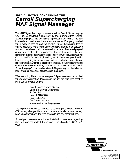# **SPECIAL NOTICE CONCERNING THE Carroll Supercharging MAF Signal Massager**

The MAF Signal Massager, manufactured by Carroll Supercharging Co., Inc. is serviced exclusively by the manufacturer. Carroll Supercharging Co., Inc. warrants this product to be free from defects in material and workmanship under normal use and if properly installed for 90 days. In case of malfunction, this unit will be repaired free of charge according to the terms of the warranty. If found to be defective as mentioned above, it will be repaired or replaced if returned prepaid along with proof of date of purchase. This shall constitute the sole remedy of the purchaser and the sole liability of Carroll Supercharging Co., Inc. and/or Vortech Engineering, Inc. To the extent permitted by law, the foregoing is exclusive and in lieu of all other warranties or representations whether expressed or implied, including any implied warranty of merchantability or fitness. In no event shall Carroll Supercharging Co., Inc. and/or Vortech Engineering, Inc. be liable for labor charges, special or consequential damages.

When returning this unit for service, proof of purchase must be supplied for warranty verification. Please send the unit pre-paid with proof of purchase to the attention of:

> Carroll Supercharging Co., Inc. Customer Service Department 14 Doty Rd. Haskell, NJ 07420 (973) 835-1705 (973) 835-1660 Fax www.carrollsupercharging.com

The repaired unit will be returned as soon as possible after receipt, COD for any charges. Be sure you include a detailed account of any problems experienced, the type of vehicle and any modifications.

Should you have any technical or installation questions regarding this unit, contact Vortech Engineering, Inc. directly at (805) 247- 0226.

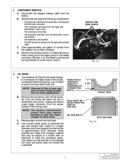#### **1. COMPONENT REMOVAL**

- **A.** Disconnect the negative battery cable from the battery.
- **B.** Remove and set aside the following components:
	- The entire air inlet/filter box assembly, including the throttle body resonator.
	- The crankcase vent tube from the right side (passenger) valve cover.
	- The accessory drive belt.
	- The tensioner and idler from the alternator mounting bracket.
	- The alternator and bracket.
	- The 3/8" stud protruding from the right side cylinder head.
- **C.** Drain approximately one gallon of coolant from the radiator into a clean container.
- **D.** Remove the formed section of rubber/aluminum hose running from the water pump to the heater core hose. (See Fig. 1-a.) The heater core hose will be reconnected to a new hose in step 9.



Fig. 1-a

#### **2. OIL DRAIN**

**A.** To provide an oil drain for the supercharger, it is necessary to make a hole in the oil pan. Locate and mark hole (see Fig. 2-a). It is best to punch the hole rather than drill.

> **NOTE: Removal of the oil pan may ease oil drain fitting installation on some applications.**

**B.** Remove the two factory anti-roll bar brackets from the frame and allow the bar to temporarily drop down. Unplug the factory crank trigger connector from the sensor located in the timing cover.

> **NOTE: The factory transmission cooler lines may require bending to clear the supercharger oil drain hose.**

- **C.** Remove paint around the hole area.
- **D.** Use a small center punch to perforate the pan and expand hole, switch to a larger diameter punch and expand the hole further to approximately 9/16" diameter. Most punches are made from hexagon material and may be placed in a socket with an extension to make this procedure easier. Use caution so that the hole is not enlarged too much and punch does not contact the crankshaft.



Fig. 2-a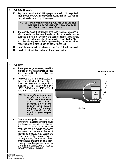#### **2. OIL DRAIN, cont'd.**

**E.** Tap the hole with a 3/8" NPT tap approximately 1/4" deep. Pack the flutes of the tap with heavy grease to hold chips. Use a small magnet to check for any stray chips.

> **NOTE: This method of rolling over the lip of the hole and tapping works very well if carefully done and should cause no problems.**

- **F.** Thoroughly clean the threaded area. Apply a small amount of silicone sealer to the new threads. Apply more sealer to the supplied 3/8" NPT x 45° elbow and secure in hole. Make sure a seal is formed all around the fitting. Install the supplied 3/8" NPT x 1/2" barb fitting. Rotate the fitting assembly so that the oil drain hose (installed in step 5) can be easily routed to it.
- **G.** Drain the engine oil, install a new filter and refill with fresh oil.
- **H.** Reattach anti-roll bar and crank trigger connector.

#### **3. OIL FEED**

- **A.** The supercharger uses engine oil for lubrication and must have an oil feed line connected to a filtered oil access on the engine.
- **B.** Remove the 1/4" NPT plug located on the engine block just above the oil filter boss. Replace the plug with the supplied  $1/4$ " NPT x 1.5" nipple,  $1/4$ " NPTF x 90° elbow and 1/4" NPT x -4 flare fitting (see *Fig. 3-a*).

**NOTE: Use clean engine oil on the pipe threads. Teflon tape and sealant is not recommended, as it might loosen and cause blockage of the small oil feed orifice resulting in supercharger failure.**

**C.** Connect the supplied feed line to the flare fitting (make sure that the silver fire sleeve has been slid onto the feed line to protect from radiant exhaust heat) and make a gentle downward loop around and back up to the rear of the engine (see *Fig. 3-a*). Secure the hose with the tie wraps provided, routing it away from exhaust heat, chaffing and/or sharp objects. Temporarily cover the open end from debris until the connection is made to the supercharger in step 5.

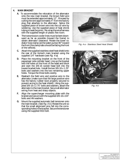#### **4. MAIN BRACKET**

- **A.** To accommodate the relocation of the alternator onto the new main bracket, the brown field wire must be extended approximately 12". Proceed by cutting the wire approximately 4" from the factory plug that attaches to the alternator. Splice the supplied piece of brown wire into the cut wire by soldering. Use the supplied piece of heat shrink tubing to seal the joints. Re-wrap the wire/harness with the supplied length of plastic flex-loom.
- **B.** The transmission cooler lines must be bent downward as far as possible (toward the frame) to obtain alternator clearance. Rotate the lower radiator hose clamp (at the water pump) 90° toward the front (the clamp tabs should be facing the front of the vehicle).
- **C.** Attach the supplied stainless steel heat shield onto the rear of the Vortech main bracket using the supplied 1/4" hardware (see *Fig. 4-a*).
- **D.** Place the mounting bracket on the front of the passenger side cylinder head. Line up the bracket with the holes on the front of the head and block and start the 3/8-16 socket head bolt into the lowest bracket hole. Install the two 3/8-16 x 1.25" bolts and washers into the two remaining upper holes. Torque the three bolts evenly.
- **E.** Reattach the field wire and positive wire to the alternator (make sure that the large positive wire has the factory rubber boot properly secured to prevent arcing to the heat shield). Using the supplied 3/8-16 x 2.75" bolts and washers, attach the alternator to the main bracket. Secure all alternator wiring from heat and sharp objects.
- **F.** Align the supercharger mounting plate with the bracket and secure with the supplied 3/8-16 x 3/4" bolts and AN washers.
- **G.** Mount the supplied automatic belt tensioner onto the main bracket. (See Fig. 4-b.) Rotate the unit so that the small alignment pins fall into the corresponding holes in the bracket. Secure the tensioner using the supplied M10 bolt.



Fig. 4-a - Stainless Steel Heat Shield.



Fig. 4-b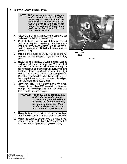#### **5. SUPERCHARGER INSTALLATION**

- **NOTE: Before the supercharger can be installed onto the bracket, it will be necessary to carefully bend the aluminum air conditioning line running over to the passenger side of the vehicle. A minor bend pushing the line toward the rear is all that is required.**
- **A.** Attach the 1/2" oil drain hose to the supercharger and secure with the #8 hose clamp.
- **B.** Route the hose down the rear of the main bracket while lowering the supercharger into the proper mounting location on the plate. Be sure that the oil drain hose remains unkinked with smooth bends. (See Fig. 5-a.)
- **C.** Using the five supplied 3/8-16 x 1" bolts and AN washers, secure the supercharger to the mounting plate.
- **D.** Route the oil drain hose around the main casting and down to the fitting in the oil pan. Make sure that the hose runs below the positive alternator lug, but still remains running "downhill". It is very important that the oil drain hose is free from restrictions, tight bends, kinks or any other drain obstructing conflict. Route the hose away from direct exhaust heat. Trim hose length if necessary and secure to the oil pan with the supplied #8 hose clamp.
- **E.** Attach the 1/8 NPT x 45° brass fitting to the super- charger oil feed. Use a 1/2" wrench to hold the feed fitting while tightening the 45° fitting. Attach the oil feed hose to the supercharger.

**WARNING: The oil system contains a small orifice that is easily plugged. Do not use any type of sealant on any of the threads. Instead, use clean engine oil. Disassemble and blow out the entire line if there is any question.**

- **F.** Using the tie wraps provided, secure the feed and drain systems away from heat and/or sharp objects.
- **G.** Using the supplied spacer, bolt and dust shield, mount the supplied 3" idler pulley (non-flanged) to the boss on the supercharger. (See Fig.  $4 - b$ .)



**OIL DRAIN HOSE**

Fig. 5-a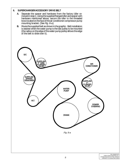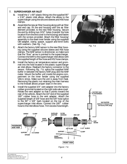#### **7. SUPERCHARGER AIR INLET**

- **A.** Install the 1" x 90° plastic fitting into the supplied 90° x 3.50" plastic inlet elbow. Attach the elbow to the supercharger using the silicone sleeves and #56 hose clamps.
- **B.** Assemble the new air filter housing along with air filter and end cap. Fit the end housing with the air filter element provided, to the new filter housing. Secure the end by drilling two 3/32" holes (transfer the hole location from the end cover to the housing) and fasten with the screws provided. Attach the filter housing/ assembly to the steel inner fender using the supplied GM adapter, clamp, spacer, support and 6mm bolts with washers. (See Fig. 7-a.)
- **C.** Attach the factory MAF sensor to the new filter housing using the supplied silicone sleeve and #56 hose clamps. The MAF sensor is directional, so make sure that the "flow" arrow is pointed to the supercharger. Connect the MAF to the supercharger inlet elbow with the supplied length of flex hose and #52 hose clamps.
- **D.** Install the factory air temperature sensor and grommet into the hole located in the plastic supercharger air inlet elbow. Reattach the factory connector to the sensor. Following *Fig. 7-b*, splice the supplied MAF buffer in between the factory MAF plug and the MAF meter. Mount the buffer unit inside the engine compartment on the inner fender using the supplied Velcro strips. Make sure the unit is away from heat. Removing the plastic nut retaining the main harness to the firewall allows proper slack in the wire.
- **E.** Install the supplied 3/4" vent adapter into the factory rubber grommet located on the right side valve cover. Rotate the vent adapter so that it points toward the rear of the vehicle. Attach the 3/4" end of the supplied<br>180° rubber hose to the vent adapter. Attach the supplied length of 5/8" hose and the 5/8" hose splice to the 90 $\degree$  x 5/8" barb located on the top of the supercharger inlet elbow. Connect the 180° rubber hose to the inlet elbow hose. Trim excess hose length.



Fig. 7-a

**MAF BUFFER (Spliced in between MAF and factory MAF plug)**

**FACTORY MAF PLUG/HARNESS**

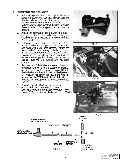#### **8. SUPERCHARGER DISCHARGE**

- **A.** Following *Fig. 8-a*, attach the supplied discharge support between the VORTEC plenum and the throttle body duct. Sandwich the dogleg end of the support in between the #56 hose clamp and the reducer sleeve. Make sure that the circular end of the support is up flush against the bottom of the plenum.
- **B.** Attach the discharge tube between the supercharger and the throttle body plenum using the supplied 3.5-2.75 reducer, 2.75 sleeve, #56 and #52 hose clamps.
- **C.** Following Fig. 8-b, connect the 1" x 6" and 1" x 3" hoses to the supplied supercharger bypass valve and secure with #16 hose clamps. Attach the bypass valve/hose assembly to the bung located on the discharge tube and the plastic  $1$ " fitting located on the inlet elbow (make sure that the bypass valve nipple is pointing down when installed). (See Fig. 8-c.) Secure with #16 hose clamps.
- **D.** Remove the 1/2" brake booster vacuum line from the intake manifold fitting and cut approximately 2" off the end. Splice the supplied adapter TEE into the brake booster line. Run the supplied piece of 1/4" vacuum hose from this TEE to the reducer, and connect the 5/32" hose to the nipple located on the bottom of the supercharger bypass valve. ( See Fig. 8d.)
- **E.** Attach the supplied 3/4" vacuum cap to the open barb located on the factory throttle body duct (previous crankcase vent tube location). Secure with supplied tie wrap.



Fig. 8-a



Fig. 8-b



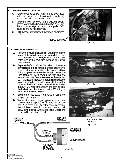#### **9. HEATER HOSE EXTENSION**

- **A.** Attach the supplied 5/8" x 24" pre-bent 90° hose to the top water pump fitting (points straight up) and secure using the factory clamp.
- **B.** Route the new hose over to the existing factory heater hose modified in step 1. (See Fig. 9-a.) Join the two hoses together using the supplied 5/8" coupling and #8 hose clamps.
- **C.** Refill the cooling system with the previously drained coolant.

**INSTALL NEW HOSE**



Fig. 9-a

#### **10. FUEL MANAGEMENT UNIT**

- **A.** Position the fuel management unit (FMU) on the inside of the vehicle frame, underneath the driver seat. (See Figs. 10-a, 10-b.) Mark and drill two #16 holes. Secure the FMU using the supplied #12 hex head screws.
- **B.** Separate the factory 5/16" fuel rail return line at the compression fitting junction underneath the vehicle near the fuel filter. Attach the supplied -4 flare fitting adapters to each end of the open return line (one fitting will point toward the rear, and one toward the front). Connect one end of the supplied 22" FMU hose to the return line running back to the tank, and the other end to the straight fitting on the center of the FMU. Connect one end of the remaining 36" FMU hose to the return line coming from the fuel rail, and the other end to the 90 $^{\circ}$  fitting on the side of the FMU (see *Fig. 10-c*).
- **C.** Secure the lines away from abrasion using the supplied tie wraps.
- **D.** Tap into the supercharger bypass valve vacuum hose using the supplied 65" long length of hose and 5/32" brass TEE. Route the hose in a manner that will keep it away from exhaust heat and will allow gentle bends without pinching. Attach the hose end to the lid of the FMU.



Fig. 10-a



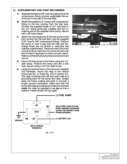#### **11. SUPPLEMENTARY FUEL PUMP AND HARNESS**

- **A.** Separate the factory 3/8" fuel rail supply line at the compression fitting junction underneath the vehicle just to the rear of the fuel filter.
- **B.** Attach the supplied 1/2" hose to 3/8" compression fitting to the line coming from the fuel tank. Connect the supplied length of 1/2" fuel hose to the 1/2" fitting previously installed and the remaining end to the supplied inline pump. Secure with a #8 hose clamp.
- **C.** Attach the discharge end of the fuel pump to the line running into the fuel filter (use the supplied 5/16" hose to 3/8" compression fitting). Position the pump in such a way that the inlet and discharge hoses are not kinked or restricted and maintain a gentle bend. The pump inlet is the most critical as far as restriction is concerned and may be trimmed if necessary to hold a smooth radius. Make sure that all fuel pump hose connections are secure.
- **D.** Mount the fuel pump to the frame using the 1.5" adel clamp. Position the clamp and drill a  $#16$ hole. Secure using a #12 hex head screw.
- **E.** Using the existing hole in the frame and supplied #10 hardware, mount the relay to the vehicle frame (see Fig. 11-b and Fig. 10-b in section 10). The relay mounting hole will also work well as a grounding point for the pump and relay. Scrape away the frame coating and paint to provide a proper ground connection. Make sure that the pump and relay grounding terminals are mounted **under** the relay as opposed to **on top** so that a metal-to-metal contact will be made.



Fig. 11-a

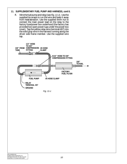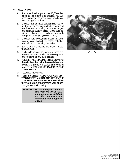#### **12. FINAL CHECK**

- **A.** If your vehicle has gone over 10,000 miles since its last spark plug change, you will need to change the spark plugs now before test driving the vehicle.
- **B.** Check all fittings, nuts, bolts and clamps for tightness. Pay particular attention to oil and fuel lines around moving parts, sharp edges and exhaust system parts. Make sure all wires and lines are properly secured with clamps or tie wraps. (See Fig. 12-a.)
- **C.** Check all fluid levels, making sure that your tank(s) is/are filled with 92 octane or higher fuel before commencing test drive.
- **D.** Start engine and allow to idle a few minutes, then shut off.
- **E.** Recheck to be sure that no hoses, wires, etc. are near exhaust headers or moving parts and for signs of any fluid leakage.
- **F. PLEASE TAKE SPECIAL NOTE:** Operating the vehicle without all sub assemblies completely and properly installed and working may cause **FAILURE OF MAJOR ENGINE COMPONENTS.**
- **G.** Test drive the vehicle.
- **H.** Read the **STREET SUPERCHARGER SYS-TEM OWNER'S MANUAL AND RETURN THE WARRANTY REGISTRATION FORM** within thirty (30) days of purchasing your supercharger system to qualify.

**WARNING: Do not attempt to operate the vehicle until ALL components are installed and ALL operations are completed including final check.**



Fig. 12-a